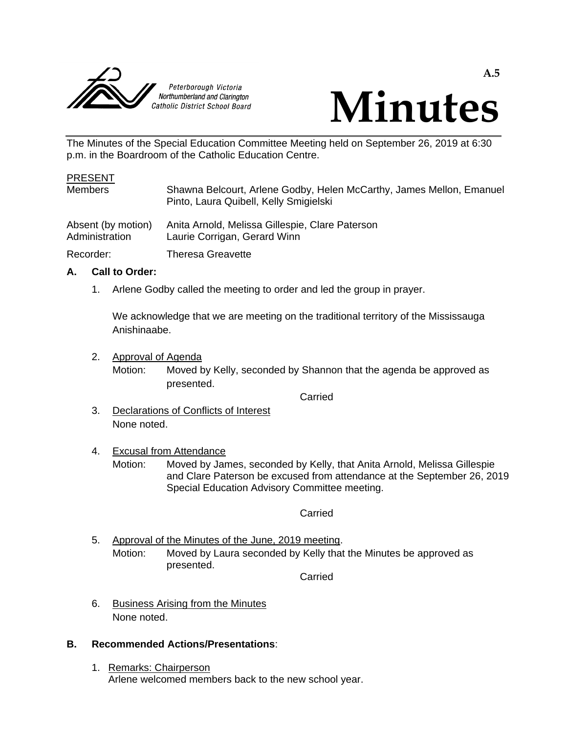



The Minutes of the Special Education Committee Meeting held on September 26, 2019 at 6:30 p.m. in the Boardroom of the Catholic Education Centre.

# PRESENT Members Shawna Belcourt, Arlene Godby, Helen McCarthy, James Mellon, Emanuel Pinto, Laura Quibell, Kelly Smigielski Absent (by motion) Anita Arnold, Melissa Gillespie, Clare Paterson<br>Administration Laurie Corrigan, Gerard Winn Laurie Corrigan, Gerard Winn Recorder: Theresa Greavette

#### **A. Call to Order:**

1. Arlene Godby called the meeting to order and led the group in prayer.

We acknowledge that we are meeting on the traditional territory of the Mississauga Anishinaabe.

2. Approval of Agenda

Motion: Moved by Kelly, seconded by Shannon that the agenda be approved as presented.

Carried

3. Declarations of Conflicts of Interest None noted.

#### 4. Excusal from Attendance

Motion: Moved by James, seconded by Kelly, that Anita Arnold, Melissa Gillespie and Clare Paterson be excused from attendance at the September 26, 2019 Special Education Advisory Committee meeting.

#### Carried

5. Approval of the Minutes of the June, 2019 meeting. Motion: Moved by Laura seconded by Kelly that the Minutes be approved as presented.

Carried

6. Business Arising from the Minutes None noted.

#### **B. Recommended Actions/Presentations**:

1. Remarks: Chairperson Arlene welcomed members back to the new school year.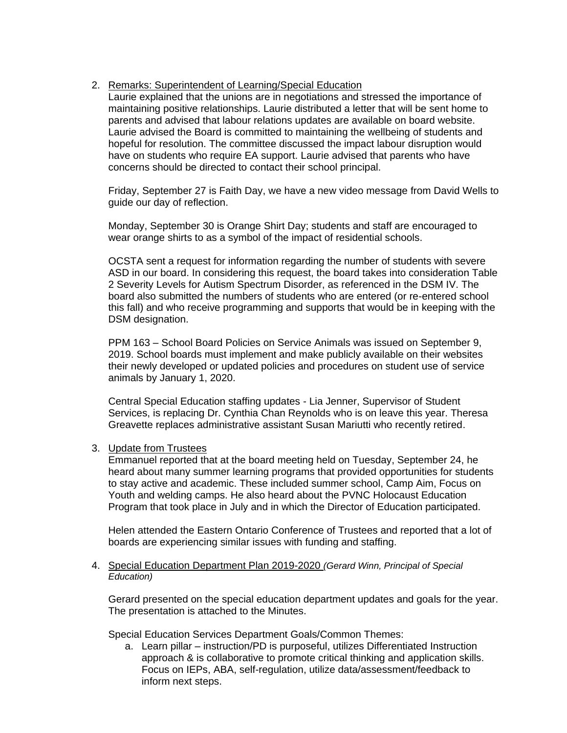# 2. Remarks: Superintendent of Learning/Special Education

Laurie explained that the unions are in negotiations and stressed the importance of maintaining positive relationships. Laurie distributed a letter that will be sent home to parents and advised that labour relations updates are available on board website. Laurie advised the Board is committed to maintaining the wellbeing of students and hopeful for resolution. The committee discussed the impact labour disruption would have on students who require EA support. Laurie advised that parents who have concerns should be directed to contact their school principal.

Friday, September 27 is Faith Day, we have a new video message from David Wells to guide our day of reflection.

Monday, September 30 is Orange Shirt Day; students and staff are encouraged to wear orange shirts to as a symbol of the impact of residential schools.

OCSTA sent a request for information regarding the number of students with severe ASD in our board. In considering this request, the board takes into consideration Table 2 Severity Levels for Autism Spectrum Disorder, as referenced in the DSM IV. The board also submitted the numbers of students who are entered (or re-entered school this fall) and who receive programming and supports that would be in keeping with the DSM designation.

PPM 163 – School Board Policies on Service Animals was issued on September 9, 2019. School boards must implement and make publicly available on their websites their newly developed or updated policies and procedures on student use of service animals by January 1, 2020.

Central Special Education staffing updates - Lia Jenner, Supervisor of Student Services, is replacing Dr. Cynthia Chan Reynolds who is on leave this year. Theresa Greavette replaces administrative assistant Susan Mariutti who recently retired.

# 3. Update from Trustees

Emmanuel reported that at the board meeting held on Tuesday, September 24, he heard about many summer learning programs that provided opportunities for students to stay active and academic. These included summer school, Camp Aim, Focus on Youth and welding camps. He also heard about the PVNC Holocaust Education Program that took place in July and in which the Director of Education participated.

Helen attended the Eastern Ontario Conference of Trustees and reported that a lot of boards are experiencing similar issues with funding and staffing.

#### 4. Special Education Department Plan 2019-2020 *(Gerard Winn, Principal of Special Education)*

Gerard presented on the special education department updates and goals for the year. The presentation is attached to the Minutes.

Special Education Services Department Goals/Common Themes:

a. Learn pillar – instruction/PD is purposeful, utilizes Differentiated Instruction approach & is collaborative to promote critical thinking and application skills. Focus on IEPs, ABA, self-regulation, utilize data/assessment/feedback to inform next steps.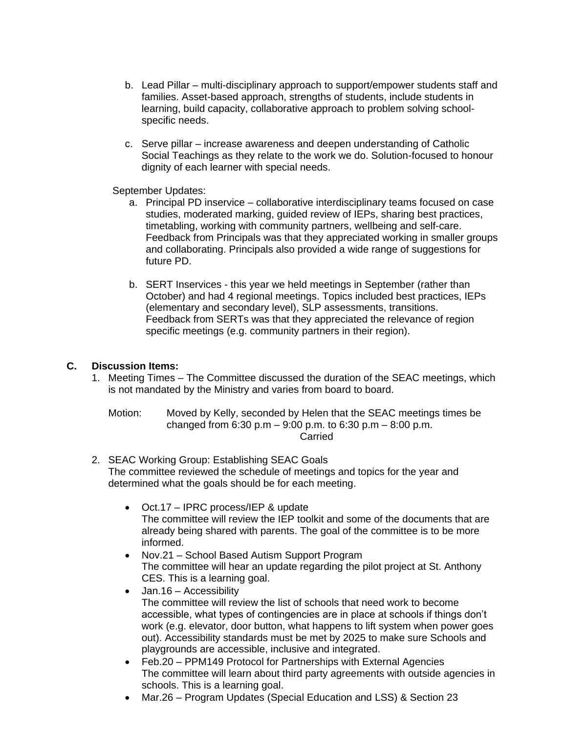- b. Lead Pillar multi-disciplinary approach to support/empower students staff and families. Asset-based approach, strengths of students, include students in learning, build capacity, collaborative approach to problem solving schoolspecific needs.
- c. Serve pillar increase awareness and deepen understanding of Catholic Social Teachings as they relate to the work we do. Solution-focused to honour dignity of each learner with special needs.

September Updates:

- a. Principal PD inservice collaborative interdisciplinary teams focused on case studies, moderated marking, guided review of IEPs, sharing best practices, timetabling, working with community partners, wellbeing and self-care. Feedback from Principals was that they appreciated working in smaller groups and collaborating. Principals also provided a wide range of suggestions for future PD.
- b. SERT Inservices this year we held meetings in September (rather than October) and had 4 regional meetings. Topics included best practices, IEPs (elementary and secondary level), SLP assessments, transitions. Feedback from SERTs was that they appreciated the relevance of region specific meetings (e.g. community partners in their region).

# **C. Discussion Items:**

- 1. Meeting Times The Committee discussed the duration of the SEAC meetings, which is not mandated by the Ministry and varies from board to board.
	- Motion: Moved by Kelly, seconded by Helen that the SEAC meetings times be changed from 6:30 p.m – 9:00 p.m. to 6:30 p.m – 8:00 p.m. **Carried**
- 2. SEAC Working Group: Establishing SEAC Goals The committee reviewed the schedule of meetings and topics for the year and determined what the goals should be for each meeting.
	- Oct.17 IPRC process/IEP & update The committee will review the IEP toolkit and some of the documents that are already being shared with parents. The goal of the committee is to be more informed.
	- Nov.21 School Based Autism Support Program The committee will hear an update regarding the pilot project at St. Anthony CES. This is a learning goal.
	- Jan.16 Accessibility The committee will review the list of schools that need work to become accessible, what types of contingencies are in place at schools if things don't work (e.g. elevator, door button, what happens to lift system when power goes out). Accessibility standards must be met by 2025 to make sure Schools and playgrounds are accessible, inclusive and integrated.
	- Feb.20 PPM149 Protocol for Partnerships with External Agencies The committee will learn about third party agreements with outside agencies in schools. This is a learning goal.
	- Mar.26 Program Updates (Special Education and LSS) & Section 23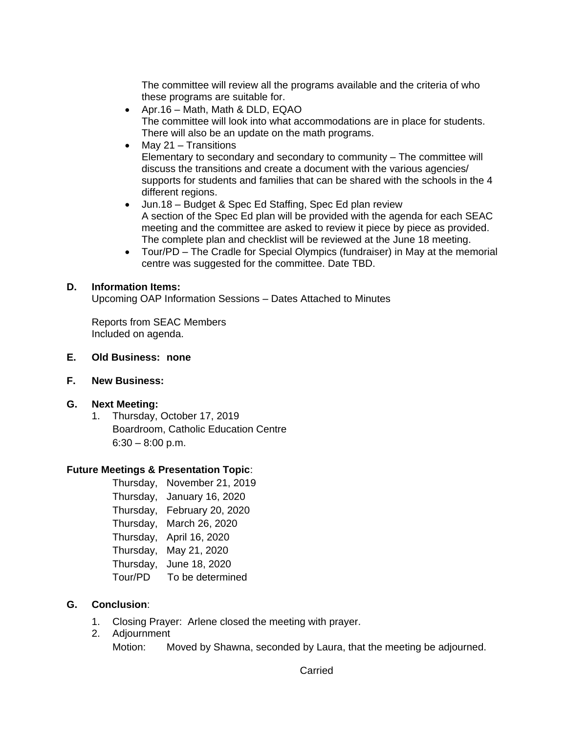The committee will review all the programs available and the criteria of who these programs are suitable for.

- Apr.16 Math, Math & DLD, EQAO The committee will look into what accommodations are in place for students. There will also be an update on the math programs.
- $\bullet$  May 21 Transitions Elementary to secondary and secondary to community – The committee will discuss the transitions and create a document with the various agencies/ supports for students and families that can be shared with the schools in the 4 different regions.
- Jun.18 Budget & Spec Ed Staffing, Spec Ed plan review A section of the Spec Ed plan will be provided with the agenda for each SEAC meeting and the committee are asked to review it piece by piece as provided. The complete plan and checklist will be reviewed at the June 18 meeting.
- Tour/PD The Cradle for Special Olympics (fundraiser) in May at the memorial centre was suggested for the committee. Date TBD.

# **D. Information Items:**

Upcoming OAP Information Sessions – Dates Attached to Minutes

Reports from SEAC Members Included on agenda.

- **E. Old Business: none**
- **F. New Business:**
- **G. Next Meeting:**
	- 1. Thursday, October 17, 2019 Boardroom, Catholic Education Centre  $6:30 - 8:00$  p.m.

# **Future Meetings & Presentation Topic**:

Thursday, November 21, 2019 Thursday, January 16, 2020 Thursday, February 20, 2020 Thursday, March 26, 2020 Thursday, April 16, 2020 Thursday, May 21, 2020 Thursday, June 18, 2020 Tour/PD To be determined

# **G. Conclusion**:

- 1. Closing Prayer: Arlene closed the meeting with prayer.
- 2. Adjournment Motion: Moved by Shawna, seconded by Laura, that the meeting be adjourned.